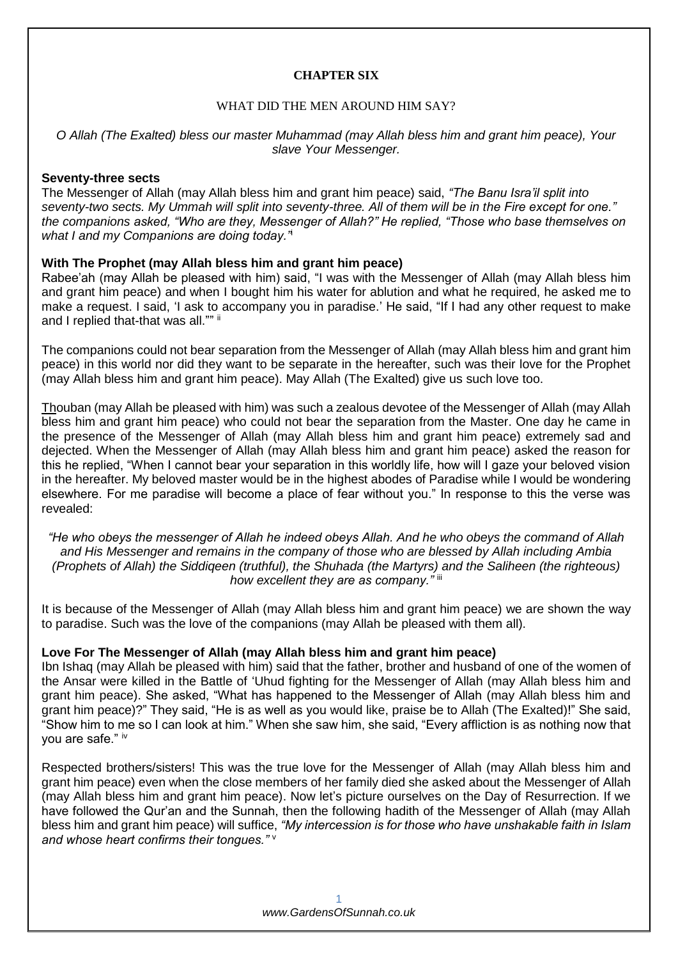## **CHAPTER SIX**

## WHAT DID THE MEN AROUND HIM SAY?

## *O Allah (The Exalted) bless our master Muhammad (may Allah bless him and grant him peace), Your slave Your Messenger.*

#### **Seventy-three sects**

The Messenger of Allah (may Allah bless him and grant him peace) said, *"The Banu Isra'il split into seventy-two sects. My Ummah will split into seventy-three. All of them will be in the Fire except for one." the companions asked, "Who are they, Messenger of Allah?" He replied, "Those who base themselves on what I and my Companions are doing today."*<sup>i</sup>

## **With The Prophet (may Allah bless him and grant him peace)**

Rabee'ah (may Allah be pleased with him) said, "I was with the Messenger of Allah (may Allah bless him and grant him peace) and when I bought him his water for ablution and what he required, he asked me to make a request. I said, 'I ask to accompany you in paradise.' He said, "If I had any other request to make and I replied that-that was all."" ii

The companions could not bear separation from the Messenger of Allah (may Allah bless him and grant him peace) in this world nor did they want to be separate in the hereafter, such was their love for the Prophet (may Allah bless him and grant him peace). May Allah (The Exalted) give us such love too.

Thouban (may Allah be pleased with him) was such a zealous devotee of the Messenger of Allah (may Allah bless him and grant him peace) who could not bear the separation from the Master. One day he came in the presence of the Messenger of Allah (may Allah bless him and grant him peace) extremely sad and dejected. When the Messenger of Allah (may Allah bless him and grant him peace) asked the reason for this he replied, "When I cannot bear your separation in this worldly life, how will I gaze your beloved vision in the hereafter. My beloved master would be in the highest abodes of Paradise while I would be wondering elsewhere. For me paradise will become a place of fear without you." In response to this the verse was revealed:

*"He who obeys the messenger of Allah he indeed obeys Allah. And he who obeys the command of Allah and His Messenger and remains in the company of those who are blessed by Allah including Ambia (Prophets of Allah) the Siddiqeen (truthful), the Shuhada (the Martyrs) and the Saliheen (the righteous) how excellent they are as company."* iii

It is because of the Messenger of Allah (may Allah bless him and grant him peace) we are shown the way to paradise. Such was the love of the companions (may Allah be pleased with them all).

#### **Love For The Messenger of Allah (may Allah bless him and grant him peace)**

Ibn Ishaq (may Allah be pleased with him) said that the father, brother and husband of one of the women of the Ansar were killed in the Battle of 'Uhud fighting for the Messenger of Allah (may Allah bless him and grant him peace). She asked, "What has happened to the Messenger of Allah (may Allah bless him and grant him peace)?" They said, "He is as well as you would like, praise be to Allah (The Exalted)!" She said, "Show him to me so I can look at him." When she saw him, she said, "Every affliction is as nothing now that you are safe." iv

Respected brothers/sisters! This was the true love for the Messenger of Allah (may Allah bless him and grant him peace) even when the close members of her family died she asked about the Messenger of Allah (may Allah bless him and grant him peace). Now let's picture ourselves on the Day of Resurrection. If we have followed the Qur'an and the Sunnah, then the following hadith of the Messenger of Allah (may Allah bless him and grant him peace) will suffice, *"My intercession is for those who have unshakable faith in Islam and whose heart confirms their tongues."* <sup>v</sup>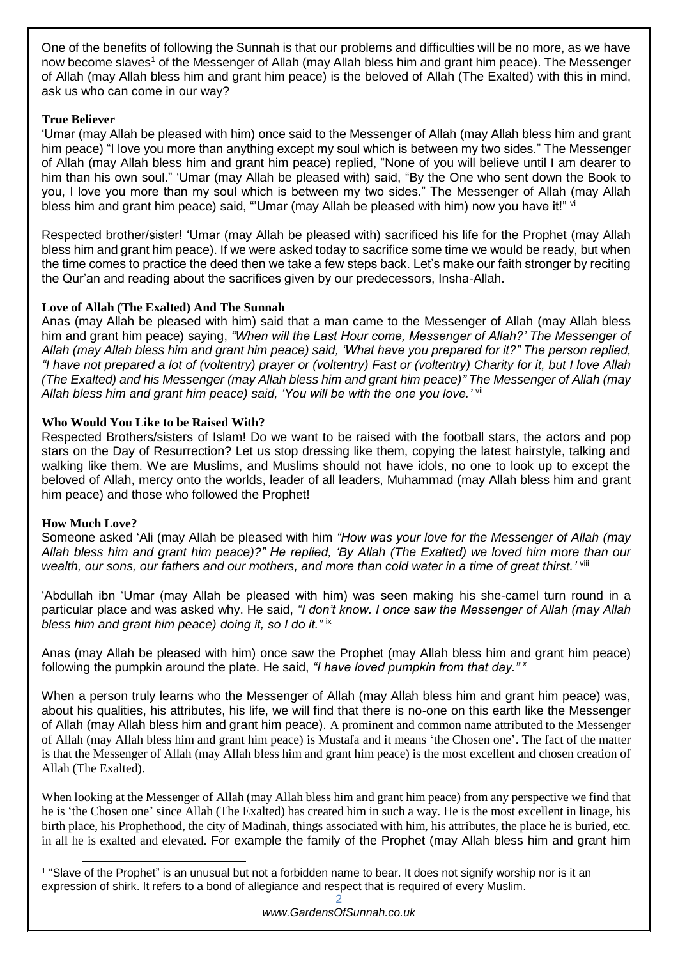One of the benefits of following the Sunnah is that our problems and difficulties will be no more, as we have now become slaves<sup>1</sup> of the Messenger of Allah (may Allah bless him and grant him peace). The Messenger of Allah (may Allah bless him and grant him peace) is the beloved of Allah (The Exalted) with this in mind, ask us who can come in our way?

# **True Believer**

'Umar (may Allah be pleased with him) once said to the Messenger of Allah (may Allah bless him and grant him peace) "I love you more than anything except my soul which is between my two sides." The Messenger of Allah (may Allah bless him and grant him peace) replied, "None of you will believe until I am dearer to him than his own soul." 'Umar (may Allah be pleased with) said, "By the One who sent down the Book to you, I love you more than my soul which is between my two sides." The Messenger of Allah (may Allah bless him and grant him peace) said, "'Umar (may Allah be pleased with him) now you have it!" vi

Respected brother/sister! 'Umar (may Allah be pleased with) sacrificed his life for the Prophet (may Allah bless him and grant him peace). If we were asked today to sacrifice some time we would be ready, but when the time comes to practice the deed then we take a few steps back. Let's make our faith stronger by reciting the Qur'an and reading about the sacrifices given by our predecessors, Insha-Allah.

# **Love of Allah (The Exalted) And The Sunnah**

Anas (may Allah be pleased with him) said that a man came to the Messenger of Allah (may Allah bless him and grant him peace) saying, *"When will the Last Hour come, Messenger of Allah?' The Messenger of Allah (may Allah bless him and grant him peace) said, 'What have you prepared for it?" The person replied, "I have not prepared a lot of (voltentry) prayer or (voltentry) Fast or (voltentry) Charity for it, but I love Allah (The Exalted) and his Messenger (may Allah bless him and grant him peace)" The Messenger of Allah (may Allah bless him and grant him peace) said, 'You will be with the one you love.'* vii

# **Who Would You Like to be Raised With?**

Respected Brothers/sisters of Islam! Do we want to be raised with the football stars, the actors and pop stars on the Day of Resurrection? Let us stop dressing like them, copying the latest hairstyle, talking and walking like them. We are Muslims, and Muslims should not have idols, no one to look up to except the beloved of Allah, mercy onto the worlds, leader of all leaders, Muhammad (may Allah bless him and grant him peace) and those who followed the Prophet!

# **How Much Love?**

Someone asked 'Ali (may Allah be pleased with him *"How was your love for the Messenger of Allah (may Allah bless him and grant him peace)?" He replied, 'By Allah (The Exalted) we loved him more than our*  wealth, our sons, our fathers and our mothers, and more than cold water in a time of great thirst.' vill

'Abdullah ibn 'Umar (may Allah be pleased with him) was seen making his she-camel turn round in a particular place and was asked why. He said, *"I don't know. I once saw the Messenger of Allah (may Allah bless him and grant him peace) doing it, so I do it."* ix

Anas (may Allah be pleased with him) once saw the Prophet (may Allah bless him and grant him peace) following the pumpkin around the plate. He said, *"I have loved pumpkin from that day." <sup>x</sup>*

When a person truly learns who the Messenger of Allah (may Allah bless him and grant him peace) was, about his qualities, his attributes, his life, we will find that there is no-one on this earth like the Messenger of Allah (may Allah bless him and grant him peace). A prominent and common name attributed to the Messenger of Allah (may Allah bless him and grant him peace) is Mustafa and it means 'the Chosen one'. The fact of the matter is that the Messenger of Allah (may Allah bless him and grant him peace) is the most excellent and chosen creation of Allah (The Exalted).

When looking at the Messenger of Allah (may Allah bless him and grant him peace) from any perspective we find that he is 'the Chosen one' since Allah (The Exalted) has created him in such a way. He is the most excellent in linage, his birth place, his Prophethood, the city of Madinah, things associated with him, his attributes, the place he is buried, etc. in all he is exalted and elevated. For example the family of the Prophet (may Allah bless him and grant him

<sup>1</sup> 1 "Slave of the Prophet" is an unusual but not a forbidden name to bear. It does not signify worship nor is it an expression of shirk. It refers to a bond of allegiance and respect that is required of every Muslim.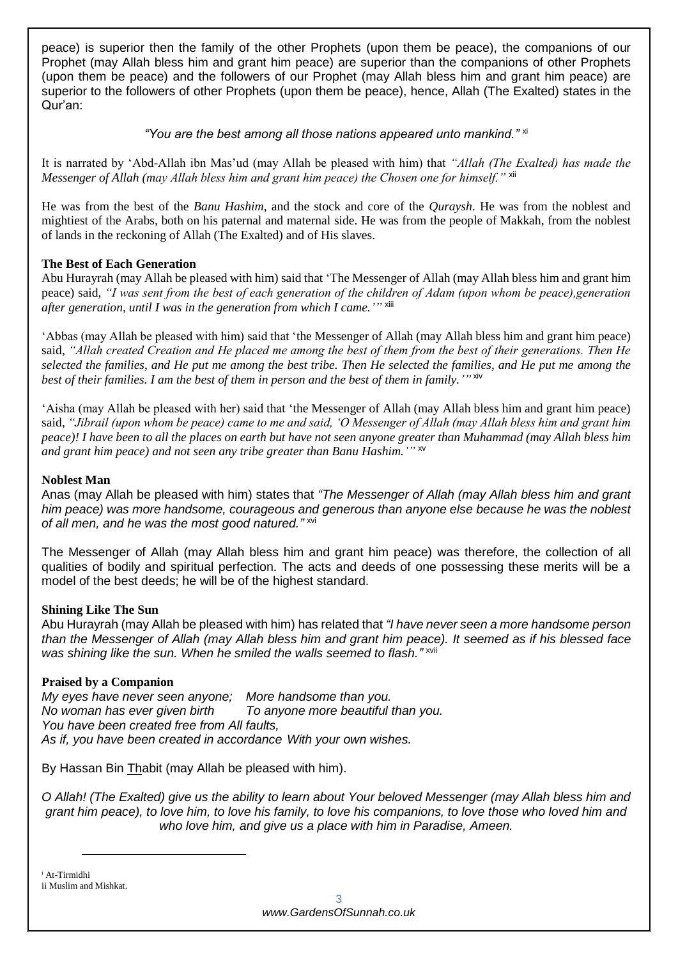peace) is superior then the family of the other Prophets (upon them be peace), the companions of our Prophet (may Allah bless him and grant him peace) are superior than the companions of other Prophets (upon them be peace) and the followers of our Prophet (may Allah bless him and grant him peace) are superior to the followers of other Prophets (upon them be peace), hence, Allah (The Exalted) states in the Qur'an:

## *"You are the best among all those nations appeared unto mankind."* xi

It is narrated by 'Abd-Allah ibn Mas'ud (may Allah be pleased with him) that *"Allah (The Exalted) has made the Messenger of Allah (may Allah bless him and grant him peace) the Chosen one for himself.*" xii

He was from the best of the *Banu Hashim*, and the stock and core of the *Quraysh*. He was from the noblest and mightiest of the Arabs, both on his paternal and maternal side. He was from the people of Makkah, from the noblest of lands in the reckoning of Allah (The Exalted) and of His slaves.

## **The Best of Each Generation**

Abu Hurayrah (may Allah be pleased with him) said that 'The Messenger of Allah (may Allah bless him and grant him peace) said, *"I was sent from the best of each generation of the children of Adam (upon whom be peace),generation*  after generation, until I was in the generation from which I came.'" <sup>xiii</sup>

'Abbas (may Allah be pleased with him) said that 'the Messenger of Allah (may Allah bless him and grant him peace) said, *"Allah created Creation and He placed me among the best of them from the best of their generations. Then He selected the families, and He put me among the best tribe. Then He selected the families, and He put me among the best of their families. I am the best of them in person and the best of them in family.'"* xiv

'Aisha (may Allah be pleased with her) said that 'the Messenger of Allah (may Allah bless him and grant him peace) said, *"Jibrail (upon whom be peace) came to me and said, 'O Messenger of Allah (may Allah bless him and grant him peace)! I have been to all the places on earth but have not seen anyone greater than Muhammad (may Allah bless him and grant him peace) and not seen any tribe greater than Banu Hashim.'"* xv

## **Noblest Man**

Anas (may Allah be pleased with him) states that *"The Messenger of Allah (may Allah bless him and grant him peace) was more handsome, courageous and generous than anyone else because he was the noblest of all men, and he was the most good natured."* xvi

The Messenger of Allah (may Allah bless him and grant him peace) was therefore, the collection of all qualities of bodily and spiritual perfection. The acts and deeds of one possessing these merits will be a model of the best deeds; he will be of the highest standard.

## **Shining Like The Sun**

Abu Hurayrah (may Allah be pleased with him) has related that *"I have never seen a more handsome person than the Messenger of Allah (may Allah bless him and grant him peace). It seemed as if his blessed face*  was shining like the sun. When he smiled the walls seemed to flash." xvii

## **Praised by a Companion**

*My eyes have never seen anyone; More handsome than you. No woman has ever given birth To anyone more beautiful than you. You have been created free from All faults, As if, you have been created in accordance With your own wishes.*

By Hassan Bin Thabit (may Allah be pleased with him).

*O Allah! (The Exalted) give us the ability to learn about Your beloved Messenger (may Allah bless him and grant him peace), to love him, to love his family, to love his companions, to love those who loved him and who love him, and give us a place with him in Paradise, Ameen.*

-